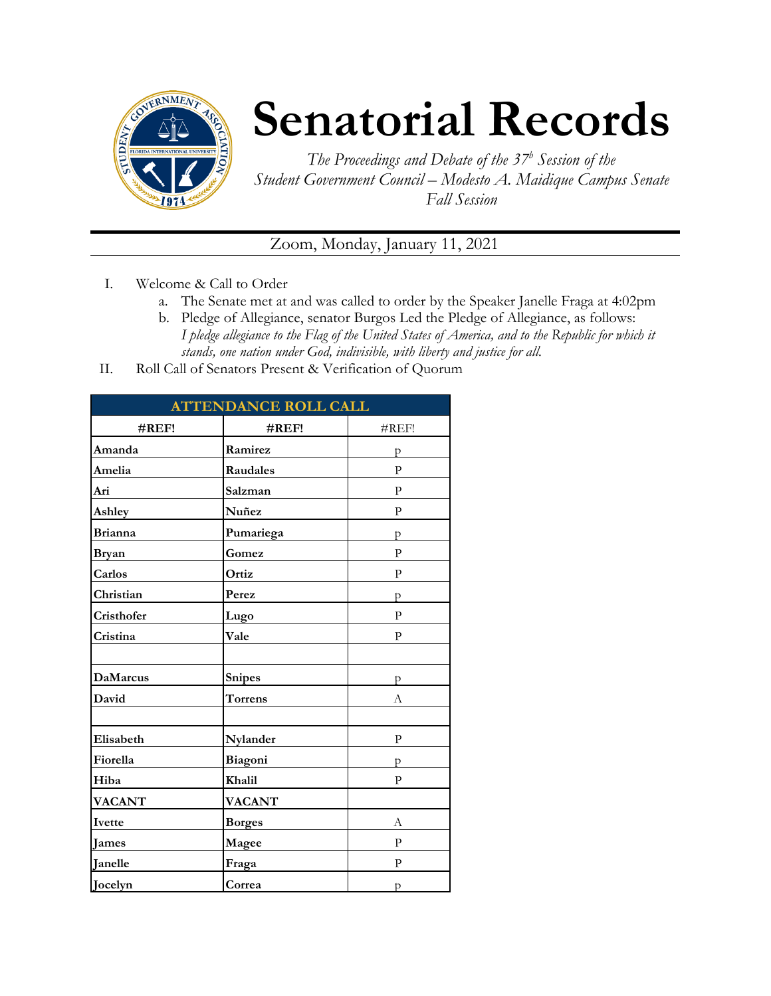

## **Senatorial Records**

*The Proceedings and Debate of the 37 <sup>h</sup> Session of the Student Government Council – Modesto A. Maidique Campus Senate Fall Session*

Zoom, Monday, January 11, 2021

- I. Welcome & Call to Order
	- a. The Senate met at and was called to order by the Speaker Janelle Fraga at 4:02pm
	- b. Pledge of Allegiance, senator Burgos Led the Pledge of Allegiance, as follows: *I pledge allegiance to the Flag of the United States of America, and to the Republic for which it stands, one nation under God, indivisible, with liberty and justice for all.*
- II. Roll Call of Senators Present & Verification of Quorum

| <b>ATTENDANCE ROLL CALL</b> |                |              |  |
|-----------------------------|----------------|--------------|--|
| $\#REF!$                    | #REF!          | #REF!        |  |
| Amanda                      | Ramirez        | р            |  |
| Amelia                      | Raudales       | P            |  |
| Ari                         | Salzman        | $\mathbf{P}$ |  |
| Ashley                      | Nuñez          | P            |  |
| <b>Brianna</b>              | Pumariega      | p            |  |
| <b>Bryan</b>                | Gomez          | $\mathbf{P}$ |  |
| Carlos                      | Ortiz          | P            |  |
| Christian                   | Perez          | p            |  |
| Cristhofer                  | Lugo           | $\mathbf{P}$ |  |
| Cristina                    | Vale           | $\mathbf{P}$ |  |
|                             |                |              |  |
| <b>DaMarcus</b>             | Snipes         | p            |  |
| David                       | <b>Torrens</b> | А            |  |
|                             |                |              |  |
| Elisabeth                   | Nylander       | $\mathbf{P}$ |  |
| Fiorella                    | Biagoni        | p            |  |
| Hiba                        | Khalil         | $\mathbf{P}$ |  |
| <b>VACANT</b>               | <b>VACANT</b>  |              |  |
| Ivette                      | <b>Borges</b>  | А            |  |
| <b>James</b>                | Magee          | P            |  |
| Janelle                     | Fraga          | $\mathbf{P}$ |  |
| Jocelyn                     | Correa         | p            |  |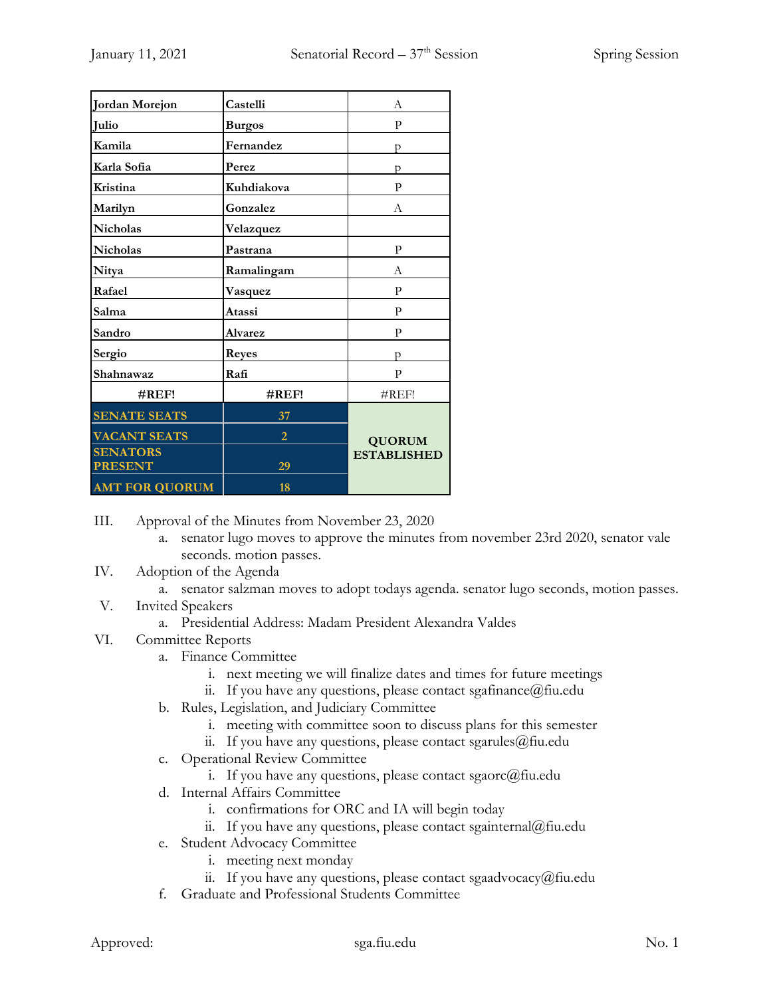| Jordan Morejon                    | Castelli       | А                  |
|-----------------------------------|----------------|--------------------|
| Julio                             | <b>Burgos</b>  | P                  |
| Kamila                            | Fernandez      | р                  |
| Karla Sofia                       | Perez          | p                  |
| Kristina                          | Kuhdiakova     | $\mathbf{P}$       |
| Marilyn                           | Gonzalez       | А                  |
| <b>Nicholas</b>                   | Velazquez      |                    |
| <b>Nicholas</b>                   | Pastrana       | P                  |
| Nitya                             | Ramalingam     | А                  |
| Rafael                            | Vasquez        | P                  |
| Salma                             | Atassi         | $\mathbf{p}$       |
| Sandro                            | <b>Alvarez</b> | P                  |
| Sergio                            | <b>Reyes</b>   | D                  |
| Shahnawaz                         | Rafi           | P                  |
| $\#REF!$                          | #REF!          | $\#$ REF!          |
| <b>SENATE SEATS</b>               | 37             |                    |
| <b>VACANT SEATS</b>               | $\overline{2}$ | <b>QUORUM</b>      |
| <b>SENATORS</b><br><b>PRESENT</b> | 29             | <b>ESTABLISHED</b> |
| <b>AMT FOR QUORUM</b>             | 18             |                    |

III. Approval of the Minutes from November 23, 2020

- a. senator lugo moves to approve the minutes from november 23rd 2020, senator vale seconds. motion passes.
- IV. Adoption of the Agenda
	- a. senator salzman moves to adopt todays agenda. senator lugo seconds, motion passes.
- V. Invited Speakers
	- a. Presidential Address: Madam President Alexandra Valdes

## VI. Committee Reports

- a. Finance Committee
	- i. next meeting we will finalize dates and times for future meetings
	- ii. If you have any questions, please contact sgafinance@fiu.edu
- b. Rules, Legislation, and Judiciary Committee
	- i. meeting with committee soon to discuss plans for this semester
	- ii. If you have any questions, please contact sgarules  $@$  fiu.edu
- c. Operational Review Committee
	- i. If you have any questions, please contact sgaorc $@$ fiu.edu
- d. Internal Affairs Committee
	- i. confirmations for ORC and IA will begin today
	- ii. If you have any questions, please contact sgainternal@fiu.edu
- e. Student Advocacy Committee
	- i. meeting next monday
	- ii. If you have any questions, please contact sgaadvocacy@fiu.edu
- f. Graduate and Professional Students Committee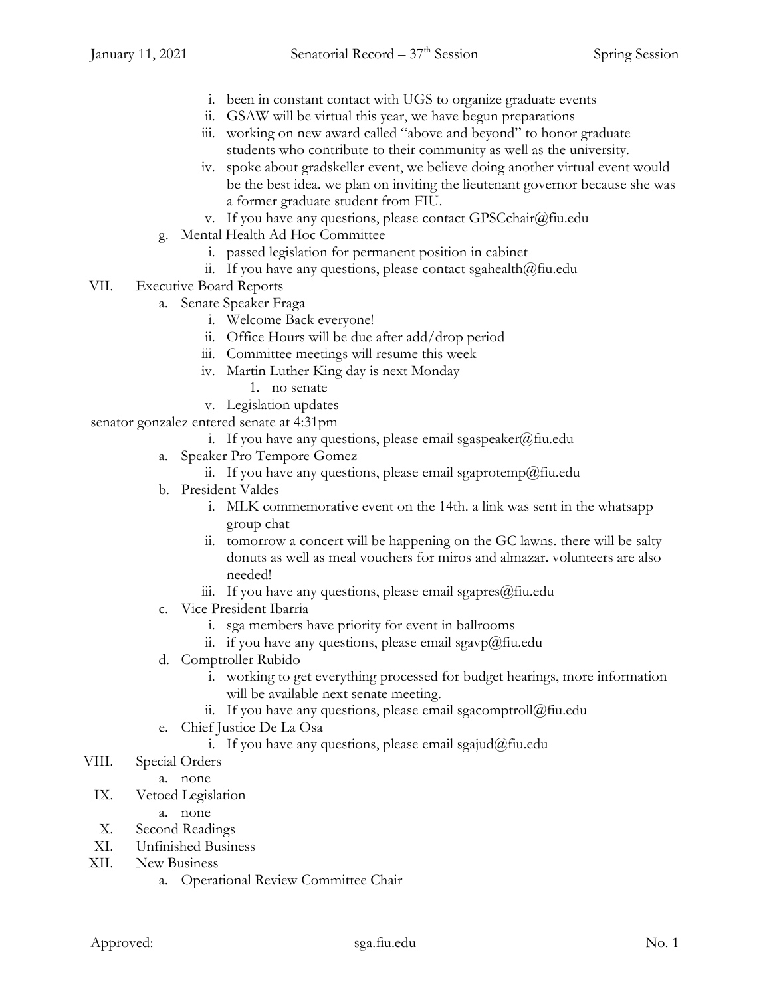- i. been in constant contact with UGS to organize graduate events
- ii. GSAW will be virtual this year, we have begun preparations
- iii. working on new award called "above and beyond" to honor graduate students who contribute to their community as well as the university.
- iv. spoke about gradskeller event, we believe doing another virtual event would be the best idea. we plan on inviting the lieutenant governor because she was a former graduate student from FIU.
- v. If you have any questions, please contact GPSCchair@fiu.edu
- g. Mental Health Ad Hoc Committee
	- i. passed legislation for permanent position in cabinet
	- ii. If you have any questions, please contact sgahealth@fiu.edu
- VII. Executive Board Reports
	- a. Senate Speaker Fraga
		- i. Welcome Back everyone!
		- ii. Office Hours will be due after add/drop period
		- iii. Committee meetings will resume this week
		- iv. Martin Luther King day is next Monday
			- 1. no senate
		- v. Legislation updates

senator gonzalez entered senate at 4:31pm

- i. If you have any questions, please email sgaspeaker@fiu.edu
- a. Speaker Pro Tempore Gomez
	- ii. If you have any questions, please email sgaprotemp@fiu.edu
- b. President Valdes
	- i. MLK commemorative event on the 14th. a link was sent in the whatsapp group chat
	- ii. tomorrow a concert will be happening on the GC lawns. there will be salty donuts as well as meal vouchers for miros and almazar. volunteers are also needed!
	- iii. If you have any questions, please email sgapres $@$ fiu.edu
- c. Vice President Ibarria
	- i. sga members have priority for event in ballrooms
	- ii. if you have any questions, please email sgavp@fiu.edu
- d. Comptroller Rubido
	- i. working to get everything processed for budget hearings, more information will be available next senate meeting.
	- ii. If you have any questions, please email sgacomptroll@fiu.edu
- e. Chief Justice De La Osa
	- i. If you have any questions, please email sgajud@fiu.edu
- VIII. Special Orders
	- a. none
- IX. Vetoed Legislation
	- a. none
- X. Second Readings
- XI. Unfinished Business
- XII. New Business
	- a. Operational Review Committee Chair